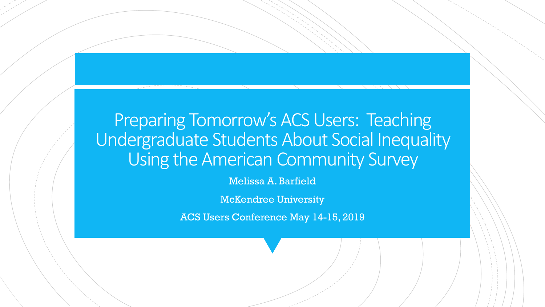### Preparing Tomorrow's ACS Users: Teaching Undergraduate Students About Social Inequality Using the American Community Survey

Melissa A. Barfield

McKendree University

ACS Users Conference May 14-15, 2019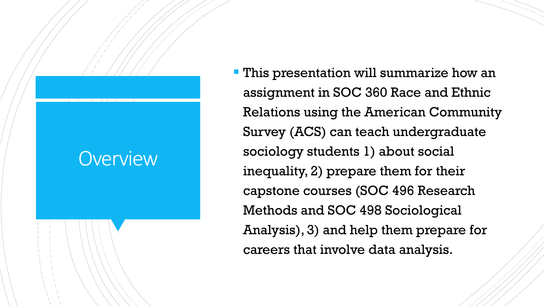## **Overview**

**- This presentation will summarize how an** assignment in SOC 360 Race and Ethnic Relations using the American Community Survey (ACS) can teach undergraduate sociology students 1) about social inequality, 2) prepare them for their capstone courses (SOC 496 Research Methods and SOC 498 Sociological Analysis), 3) and help them prepare for careers that involve data analysis.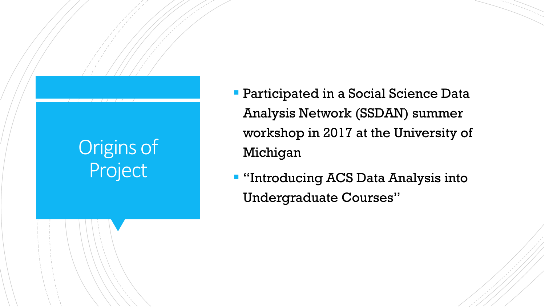# Origins of Project

- **Participated in a Social Science Data** Analysis Network (SSDAN) summer workshop in 2017 at the University of Michigan
- **"Introducing ACS Data Analysis into** Undergraduate Courses"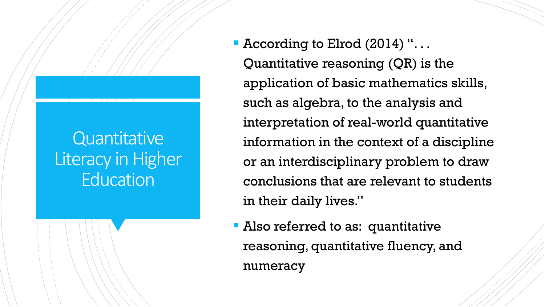## **Quantitative** Literacy in Higher **Education**

 According to Elrod (2014) ". . . Quantitative reasoning (QR) is the application of basic mathematics skills, such as algebra, to the analysis and interpretation of real-world quantitative information in the context of a discipline or an interdisciplinary problem to draw conclusions that are relevant to students in their daily lives."

**Also referred to as: quantitative** reasoning, quantitative fluency, and numeracy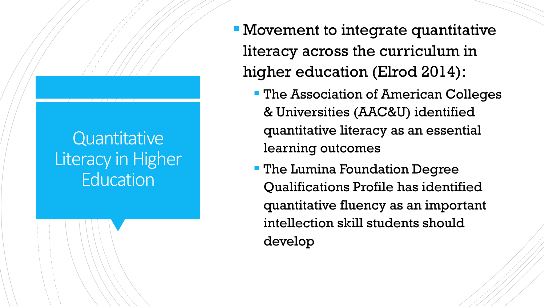## **Quantitative** Literacy in Higher **Education**

- Movement to integrate quantitative literacy across the curriculum in higher education (Elrod 2014):
	- **The Association of American Colleges** & Universities (AAC&U) identified quantitative literacy as an essential learning outcomes
	- **The Lumina Foundation Degree** Qualifications Profile has identified quantitative fluency as an important intellection skill students should develop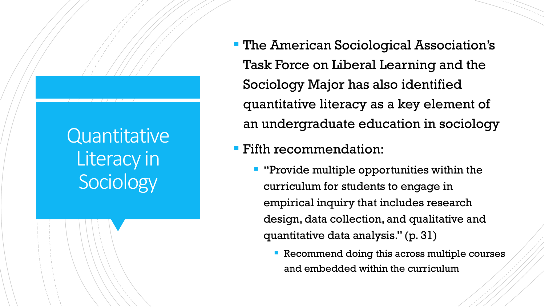# **Quantitative** Literacy in **Sociology**

**- The American Sociological Association's** Task Force on Liberal Learning and the Sociology Major has also identified quantitative literacy as a key element of an undergraduate education in sociology

### Fifth recommendation:

- **"** "Provide multiple opportunities within the curriculum for students to engage in empirical inquiry that includes research design, data collection, and qualitative and quantitative data analysis." (p. 31)
	- **Recommend doing this across multiple courses** and embedded within the curriculum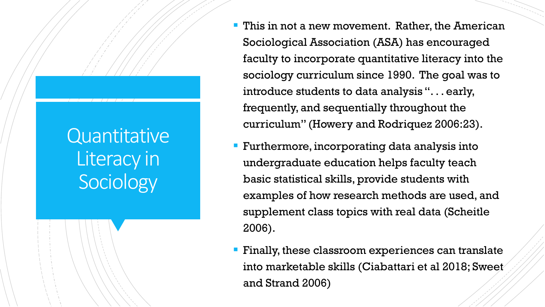# Quantitative Literacy in Sociology

- **This in not a new movement. Rather, the American** Sociological Association (ASA) has encouraged faculty to incorporate quantitative literacy into the sociology curriculum since 1990. The goal was to introduce students to data analysis ". . . early, frequently, and sequentially throughout the curriculum" (Howery and Rodriquez 2006:23).
- **Furthermore, incorporating data analysis into** undergraduate education helps faculty teach basic statistical skills, provide students with examples of how research methods are used, and supplement class topics with real data (Scheitle 2006).
- **Finally, these classroom experiences can translate** into marketable skills (Ciabattari et al 2018; Sweet and Strand 2006)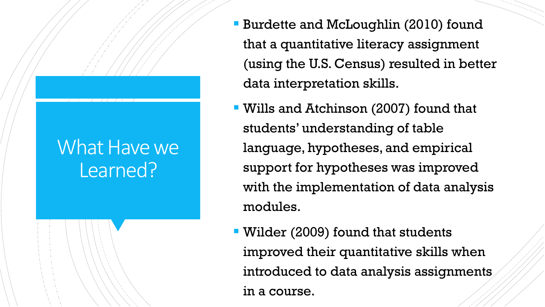## What Have we Learned?

- **Burdette and McLoughlin (2010) found** that a quantitative literacy assignment (using the U.S. Census) resulted in better data interpretation skills.
- Wills and Atchinson (2007) found that students' understanding of table language, hypotheses, and empirical support for hypotheses was improved with the implementation of data analysis modules.
- Wilder (2009) found that students improved their quantitative skills when introduced to data analysis assignments in a course.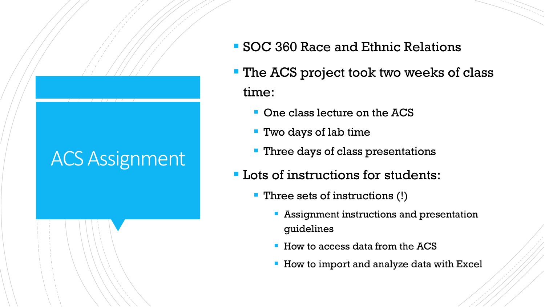# ACS Assignment

- SOC 360 Race and Ethnic Relations
- **The ACS project took two weeks of class** time:
	- **One class lecture on the ACS**
	- Two days of lab time
	- **Three days of class presentations**
- **Lots of instructions for students:** 
	- **Three sets of instructions (!)** 
		- **Assignment instructions and presentation** guidelines
		- How to access data from the ACS
		- **How to import and analyze data with Excel**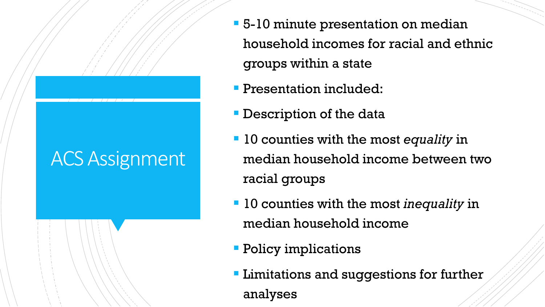# ACS Assignment

- **5-10 minute presentation on median** household incomes for racial and ethnic groups within a state
- **Presentation included:**
- **Description of the data**
- 10 counties with the most *equality* in median household income between two racial groups
- 10 counties with the most *inequality* in median household income
- **Policy implications**
- **Limitations and suggestions for further** analyses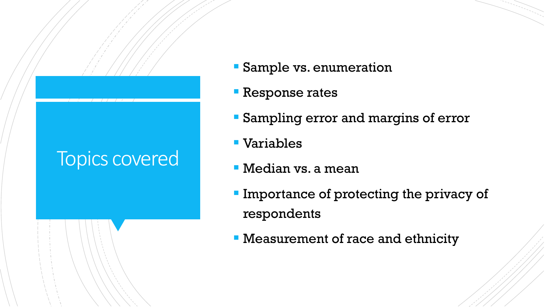## Topics covered

- Sample vs. enumeration
- **Response rates**
- Sampling error and margins of error
- Variables
- Median vs. a mean
- **Importance of protecting the privacy of** respondents
- Measurement of race and ethnicity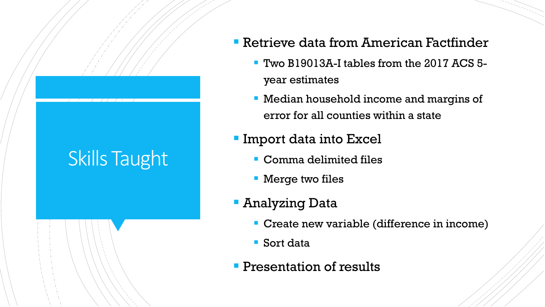# Skills Taught

### Retrieve data from American Factfinder

- Two B19013A-I tables from the 2017 ACS 5 year estimates
- Median household income and margins of error for all counties within a state

### **Import data into Excel**

- Comma delimited files
- **Nerge two files**
- Analyzing Data
	- Create new variable (difference in income)
	- Sort data
- **Presentation of results**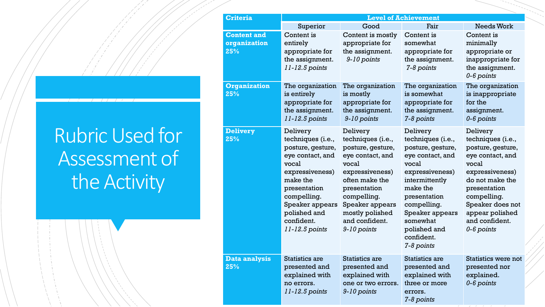| <b>Rubric Used for</b> |
|------------------------|
| Assessment of          |
| the Activity           |

| <b>Criteria</b>                           | <b>Level of Achievement</b>                                                                                                                                                                                      |                                                                                                                                                                                                                            |                                                                                                                                                                                                                                            |                                                                                                                                                                                                                             |
|-------------------------------------------|------------------------------------------------------------------------------------------------------------------------------------------------------------------------------------------------------------------|----------------------------------------------------------------------------------------------------------------------------------------------------------------------------------------------------------------------------|--------------------------------------------------------------------------------------------------------------------------------------------------------------------------------------------------------------------------------------------|-----------------------------------------------------------------------------------------------------------------------------------------------------------------------------------------------------------------------------|
|                                           | Superior                                                                                                                                                                                                         | Good                                                                                                                                                                                                                       | Fair                                                                                                                                                                                                                                       | <b>Needs Work</b>                                                                                                                                                                                                           |
| <b>Content and</b><br>organization<br>25% | Content is<br>entirely<br>appropriate for<br>the assignment.<br>11-12.5 points                                                                                                                                   | Content is mostly<br>appropriate for<br>the assignment.<br>9-10 points                                                                                                                                                     | Content is<br>somewhat<br>appropriate for<br>the assignment.<br>7-8 points                                                                                                                                                                 | Content is<br>minimally<br>appropriate or<br>inappropriate for<br>the assignment.<br>$0 - 6$ points                                                                                                                         |
| <b>Organization</b><br>25%                | The organization<br>is entirely<br>appropriate for<br>the assignment.<br>11-12.5 points                                                                                                                          | The organization<br>is mostly<br>appropriate for<br>the assignment.<br>9-10 points                                                                                                                                         | The organization<br>is somewhat<br>appropriate for<br>the assignment.<br>7-8 points                                                                                                                                                        | The organization<br>is inappropriate<br>for the<br>assignment.<br>0-6 points                                                                                                                                                |
| <b>Delivery</b><br>25%                    | Delivery<br>techniques (i.e.,<br>posture, gesture,<br>eye contact, and<br>vocal<br>expressiveness)<br>make the<br>presentation<br>compelling.<br>Speaker appears<br>polished and<br>confident.<br>11-12.5 points | Delivery<br>techniques (i.e.,<br>posture, gesture,<br>eye contact, and<br>vocal<br>expressiveness)<br>often make the<br>presentation<br>compelling.<br>Speaker appears<br>mostly polished<br>and confident.<br>9-10 points | Delivery<br>techniques (i.e.,<br>posture, gesture,<br>eye contact, and<br>vocal<br>expressiveness)<br>intermittently<br>make the<br>presentation<br>compelling.<br>Speaker appears<br>somewhat<br>polished and<br>confident.<br>7-8 points | Delivery<br>techniques (i.e.,<br>posture, gesture,<br>eye contact, and<br>vocal<br>expressiveness)<br>do not make the<br>presentation<br>compelling.<br>Speaker does not<br>appear polished<br>and confident.<br>0-6 points |
| <b>Data analysis</b><br>25%               | <b>Statistics are</b><br>presented and<br>explained with<br>no errors.<br>11-12.5 points                                                                                                                         | Statistics are<br>presented and<br>explained with<br>one or two errors.<br>9-10 points                                                                                                                                     | <b>Statistics are</b><br>presented and<br>explained with<br>three or more<br>errors.<br>7-8 points                                                                                                                                         | Statistics were not<br>presented nor<br>explained.<br>0-6 points                                                                                                                                                            |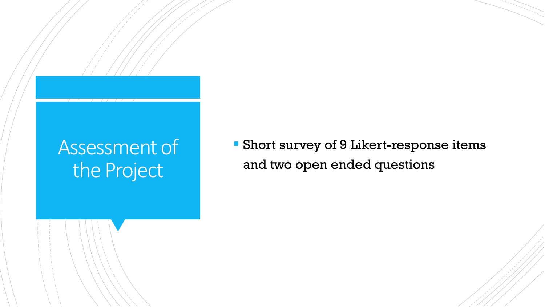# Assessment of the Project

 Short survey of 9 Likert-response items and two open ended questions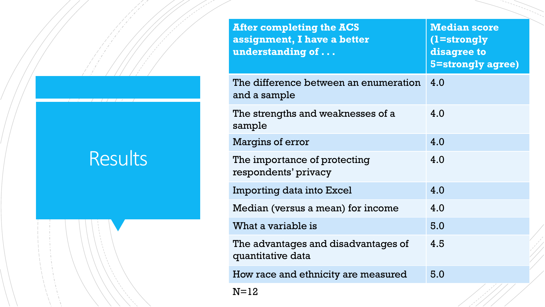# Results

| <b>After completing the ACS</b><br>assignment, I have a better<br>understanding of | <b>Median score</b><br>(1=strongly<br>disagree to<br><b>5=strongly agree)</b> |
|------------------------------------------------------------------------------------|-------------------------------------------------------------------------------|
| The difference between an enumeration<br>and a sample                              | 4.0                                                                           |
| The strengths and weaknesses of a<br>sample                                        | 4.0                                                                           |
| <b>Margins of error</b>                                                            | 4.0                                                                           |
| The importance of protecting<br>respondents' privacy                               | 4.0                                                                           |
| Importing data into Excel                                                          | 4.0                                                                           |
| Median (versus a mean) for income                                                  | 4.0                                                                           |
| What a variable is                                                                 | 5.0                                                                           |
| The advantages and disadvantages of<br>quantitative data                           | 4.5                                                                           |
| How race and ethnicity are measured                                                | 5.0                                                                           |
| $N = 12$                                                                           |                                                                               |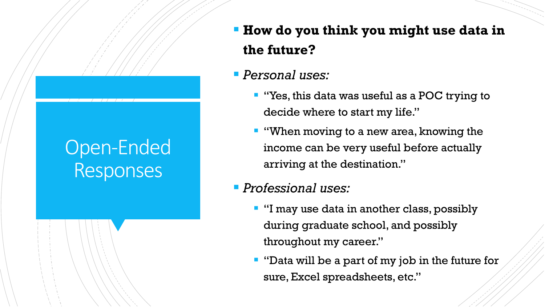# Open-Ended **Responses**

**How do you think you might use data in the future?**

### *Personal uses:*

- **T** "Yes, this data was useful as a POC trying to decide where to start my life."
- **"** "When moving to a new area, knowing the income can be very useful before actually arriving at the destination."
- *Professional uses:*
	- **I** "I may use data in another class, possibly during graduate school, and possibly throughout my career."
	- **T** "Data will be a part of my job in the future for sure, Excel spreadsheets, etc."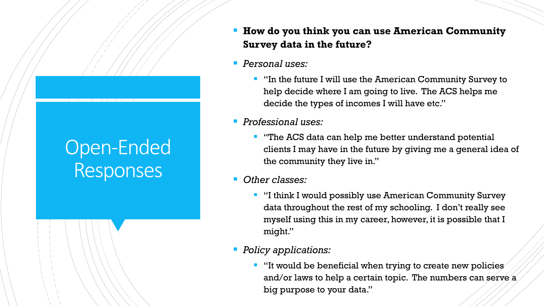# Open-Ended Responses

- **How do you think you can use American Community Survey data in the future?**
- *Personal uses:*
	- **I** "In the future I will use the American Community Survey to help decide where I am going to live. The ACS helps me decide the types of incomes I will have etc."
- *Professional uses:*
	- **T** "The ACS data can help me better understand potential clients I may have in the future by giving me a general idea of the community they live in."
- *Other classes:*
	- **I** "I think I would possibly use American Community Survey data throughout the rest of my schooling. I don't really see myself using this in my career, however, it is possible that I might."

#### *Policy applications:*

 $\blacksquare$  "It would be beneficial when trying to create new policies and/or laws to help a certain topic. The numbers can serve a big purpose to your data."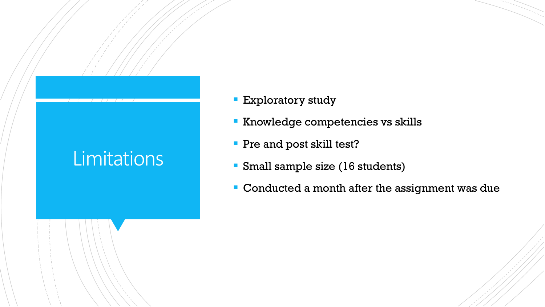# **Limitations**

- **Exploratory study**
- **Knowledge competencies vs skills**
- **Pre and post skill test?**
- Small sample size (16 students)
- Conducted a month after the assignment was due